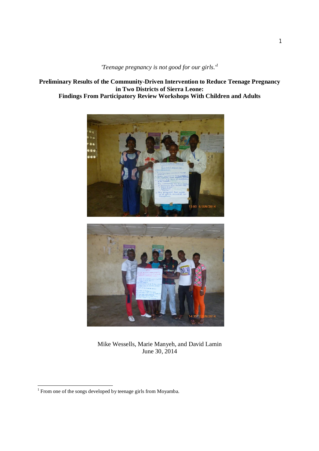*'Teenage pregnancy is not good for our girls.'<sup>1</sup>*

**Preliminary Results of the Community-Driven Intervention to Reduce Teenage Pregnancy in Two Districts of Sierra Leone: Findings From Participatory Review Workshops With Children and Adults**





Mike Wessells, Marie Manyeh, and David Lamin June 30, 2014

 1 From one of the songs developed by teenage girls from Moyamba.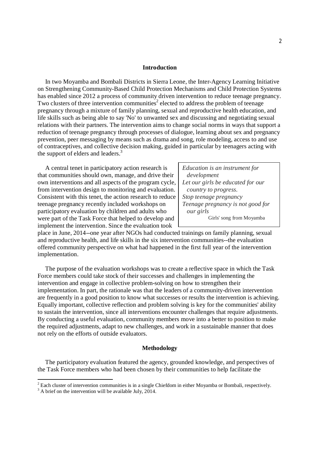#### **Introduction**

 In two Moyamba and Bombali Districts in Sierra Leone, the Inter-Agency Learning Initiative on Strengthening Community-Based Child Protection Mechanisms and Child Protection Systems has enabled since 2012 a process of community driven intervention to reduce teenage pregnancy. Two clusters of three intervention communities<sup>2</sup> elected to address the problem of teenage pregnancy through a mixture of family planning, sexual and reproductive health education, and life skills such as being able to say 'No' to unwanted sex and discussing and negotiating sexual relations with their partners. The intervention aims to change social norms in ways that support a reduction of teenage pregnancy through processes of dialogue, learning about sex and pregnancy prevention, peer messaging by means such as drama and song, role modeling, access to and use of contraceptives, and collective decision making, guided in particular by teenagers acting with the support of elders and leaders.<sup>3</sup>

 A central tenet in participatory action research is that communities should own, manage, and drive their own interventions and all aspects of the program cycle, from intervention design to monitoring and evaluation. Consistent with this tenet, the action research to reduce teenage pregnancy recently included workshops on participatory evaluation by children and adults who were part of the Task Force that helped to develop and implement the intervention. Since the evaluation took

*Education is an instrument for development Let our girls be educated for our country to progress. Stop teenage pregnancy Teenage pregnancy is not good for our girls* Girls' song from Moyamba

place in June, 2014--one year after NGOs had conducted trainings on family planning, sexual and reproductive health, and life skills in the six intervention communities--the evaluation offered community perspective on what had happened in the first full year of the intervention implementation.

 The purpose of the evaluation workshops was to create a reflective space in which the Task Force members could take stock of their successes and challenges in implementing the intervention and engage in collective problem-solving on how to strengthen their implementation. In part, the rationale was that the leaders of a community-driven intervention are frequently in a good position to know what successes or results the intervention is achieving. Equally important, collective reflection and problem solving is key for the communities' ability to sustain the intervention, since all interventions encounter challenges that require adjustments. By conducting a useful evaluation, community members move into a better to position to make the required adjustments, adapt to new challenges, and work in a sustainable manner that does not rely on the efforts of outside evaluators.

#### **Methodology**

 The participatory evaluation featured the agency, grounded knowledge, and perspectives of the Task Force members who had been chosen by their communities to help facilitate the

<sup>-&</sup>lt;br><sup>2</sup> Each cluster of intervention communities is in a single Chiefdom in either Moyamba or Bombali, respectively.

 $3$  A brief on the intervention will be available July,  $2014$ .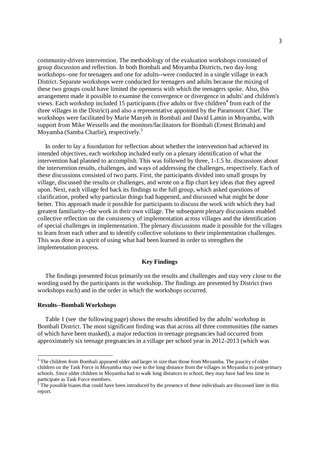community-driven intervention. The methodology of the evaluation workshops consisted of group discussion and reflection. In both Bombali and Moyamba Districts, two day-long workshops--one for teenagers and one for adults--were conducted in a single village in each District. Separate workshops were conducted for teenagers and adults because the mixing of these two groups could have limited the openness with which the teenagers spoke. Also, this arrangement made it possible to examine the convergence or divergence in adults' and children's views. Each workshop included 15 participants (five adults or five children<sup>4</sup> from each of the three villages in the District) and also a representative appointed by the Paramount Chief. The workshops were facilitated by Marie Manyeh in Bombali and David Lamin in Moyamba, with support from Mike Wessells and the monitors/facilitators for Bombali (Ernest Brimah) and Moyamba (Samba Charlie), respectively.<sup>5</sup>

 In order to lay a foundation for reflection about whether the intervention had achieved its intended objectives, each workshop included early on a plenary identification of what the intervention had planned to accomplish. This was followed by three, 1-1.5 hr. discussions about the intervention results, challenges, and ways of addressing the challenges, respectively. Each of these discussions consisted of two parts. First, the participants divided into small groups by village, discussed the results or challenges, and wrote on a flip chart key ideas that they agreed upon. Next, each village fed back its findings to the full group, which asked questions of clarification, probed why particular things had happened, and discussed what might be done better. This approach made it possible for participants to discuss the work with which they had greatest familiarity--the work in their own village. The subsequent plenary discussions enabled collective reflection on the consistency of implementation across villages and the identification of special challenges in implementation. The plenary discussions made it possible for the villages to learn from each other and to identify collective solutions to their implementation challenges. This was done in a spirit of using what had been learned in order to strengthen the implementation process.

### **Key Findings**

 The findings presented focus primarily on the results and challenges and stay very close to the wording used by the participants in the workshop. The findings are presented by District (two workshops each) and in the order in which the workshops occurred.

# **Results--Bombali Workshops**

**.** 

 Table 1 (see the following page) shows the results identified by the adults' workshop in Bombali District. The most significant finding was that across all three communities (the names of which have been masked), a major reduction in teenage pregnancies had occurred from approximately six teenage pregnancies in a village per school year in 2012-2013 (which was

<sup>&</sup>lt;sup>4</sup> The children from Bombali appeared older and larger in size than those from Moyamba. The paucity of older children on the Task Force in Moyamba may owe to the long distance from the villages in Moyamba to post-primary schools. Since older children in Moyamba had to walk long distances to school, they may have had less time to participate as Task Force members.<br><sup>5</sup> The possible biases that could have

The possible biases that could have been introduced by the presence of these individuals are discussed later in this report.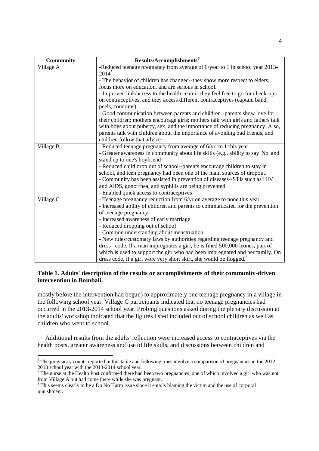| <b>Community</b> | Results/Accomplishments <sup>6</sup>                                              |
|------------------|-----------------------------------------------------------------------------------|
| Village A        | -Reduced teenage pregnancy from average of 6/year to 1 in school year 2013-       |
|                  | $2014^7$                                                                          |
|                  | - The behavior of children has changed--they show more respect to elders,         |
|                  | focus more on education, and are serious in school.                               |
|                  | - Improved link/access to the health center--they feel free to go for check-ups   |
|                  | on contraceptives, and they access different contraceptives (captain band,        |
|                  | peels, condoms)                                                                   |
|                  | - Good communication between parents and children--parents show love for          |
|                  | their children; mothers encourage girls; mothers talk with girls and fathers talk |
|                  | with boys about puberty, sex, and the importance of reducing pregnancy. Also,     |
|                  | parents talk with children about the importance of avoiding bad friends, and      |
|                  | children follow that advice.                                                      |
| Village B        | - Reduced teenage pregnancy from average of 6/yr. to 1 this year.                 |
|                  | - Greater awareness in community about life skills (e.g., ability to say 'No' and |
|                  | stand up to one's boyfriend                                                       |
|                  | - Reduced child drop out of school--parents encourage children to stay in         |
|                  | school, and teen pregnancy had been one of the main sources of dropout.           |
|                  | - Community has been assisted in prevention of diseases--STIs such as HIV         |
|                  | and AIDS, gonorrhea, and syphilis are being prevented.                            |
|                  | - Enabled quick access to contraceptives                                          |
| Village C        | - Teenage pregnancy reduction from 6/yr on average to none this year              |
|                  | - Increased ability of children and parents to communicated for the prevention    |
|                  | of teenage pregnancy                                                              |
|                  | - Increased awareness of early marriage                                           |
|                  | - Reduced dropping out of school                                                  |
|                  | - Common understanding about menstruation                                         |
|                  | - New rules/customary laws by authorities regarding teenage pregnancy and         |
|                  | dress code. If a man impregnates a girl, he is fined 500,000 leones, part of      |
|                  | which is used to support the girl who had been impregnated and her family. On     |
|                  | dress code, if a girl wore very short skirt, she would be flogged. <sup>8</sup>   |

# **Table 1. Adults' description of the results or accomplishments of their community-driven intervention in Bombali.**

mostly before the intervention had begun) to approximately one teenage pregnancy in a village in the following school year. Village C participants indicated that no teenage pregnancies had occurred in the 2013-2014 school year. Probing questions asked during the plenary discussion at the adults' workshop indicated that the figures listed included out of school children as well as children who went to school.

 Additional results from the adults' reflection were increased access to contraceptives via the health posts, greater awareness and use of life skills, and discussions between children and

**.** 

<sup>&</sup>lt;sup>6</sup> The pregnancy counts reported in this table and following ones involve a comparison of pregnancies in the 2012-2013 school year with the 2013-2014 school year.

 $7$  The nurse at the Health Post confirmed there had been two pregnancies, one of which involved a girl who was not from Village A but had come there while she was pregnant.

<sup>&</sup>lt;sup>8</sup> This seems clearly to be a Do No Harm issue since it entails blaming the victim and the use of corporal punishment.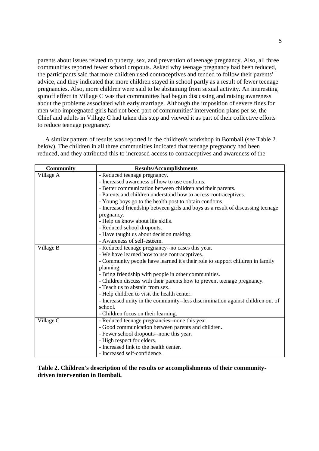parents about issues related to puberty, sex, and prevention of teenage pregnancy. Also, all three communities reported fewer school dropouts. Asked why teenage pregnancy had been reduced, the participants said that more children used contraceptives and tended to follow their parents' advice, and they indicated that more children stayed in school partly as a result of fewer teenage pregnancies. Also, more children were said to be abstaining from sexual activity. An interesting spinoff effect in Village C was that communities had begun discussing and raising awareness about the problems associated with early marriage. Although the imposition of severe fines for men who impregnated girls had not been part of communities' intervention plans per se, the Chief and adults in Village C had taken this step and viewed it as part of their collective efforts to reduce teenage pregnancy.

 A similar pattern of results was reported in the children's workshop in Bombali (see Table 2 below). The children in all three communities indicated that teenage pregnancy had been reduced, and they attributed this to increased access to contraceptives and awareness of the

| Community | <b>Results/Accomplishments</b>                                                  |
|-----------|---------------------------------------------------------------------------------|
| Village A | - Reduced teenage pregnancy.                                                    |
|           | - Increased awareness of how to use condoms.                                    |
|           | - Better communication between children and their parents.                      |
|           | - Parents and children understand how to access contraceptives.                 |
|           | - Young boys go to the health post to obtain condoms.                           |
|           | - Increased friendship between girls and boys as a result of discussing teenage |
|           | pregnancy.                                                                      |
|           | - Help us know about life skills.                                               |
|           | - Reduced school dropouts.                                                      |
|           | - Have taught us about decision making.                                         |
|           | - Awareness of self-esteem.                                                     |
| Village B | - Reduced teenage pregnancy--no cases this year.                                |
|           | - We have learned how to use contraceptives.                                    |
|           | - Community people have learned it's their role to support children in family   |
|           | planning.                                                                       |
|           | - Bring friendship with people in other communities.                            |
|           | - Children discuss with their parents how to prevent teenage pregnancy.         |
|           | - Teach us to abstain from sex.                                                 |
|           | - Help children to visit the health center.                                     |
|           | - Increased unity in the community-less discrimination against children out of  |
|           | school.                                                                         |
|           | - Children focus on their learning.                                             |
| Village C | - Reduced teenage pregnancies--none this year.                                  |
|           | - Good communication between parents and children.                              |
|           | - Fewer school dropouts--none this year.                                        |
|           | - High respect for elders.                                                      |
|           | - Increased link to the health center.                                          |
|           | - Increased self-confidence.                                                    |

**Table 2. Children's description of the results or accomplishments of their communitydriven intervention in Bombali.**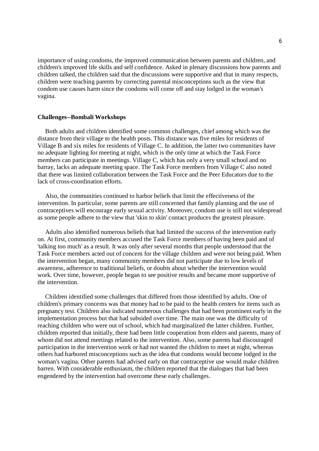importance of using condoms, the improved communication between parents and children, and children's improved life skills and self confidence. Asked in plenary discussions how parents and children talked, the children said that the discussions were supportive and that in many respects, children were teaching parents by correcting parental misconceptions such as the view that condom use causes harm since the condoms will come off and stay lodged in the woman's vagina.

#### **Challenges--Bombali Workshops**

 Both adults and children identified some common challenges, chief among which was the distance from their village to the health posts. This distance was five miles for residents of Village B and six miles for residents of Village C. In addition, the latter two communities have no adequate lighting for meeting at night, which is the only time at which the Task Force members can participate in meetings. Village C, which has only a very small school and no barray, lacks an adequate meeting space. The Task Force members from Village C also noted that there was limited collaboration between the Task Force and the Peer Educators due to the lack of cross-coordination efforts.

 Also, the communities continued to harbor beliefs that limit the effectiveness of the intervention. In particular, some parents are still concerned that family planning and the use of contraceptives will encourage early sexual activity. Moreover, condom use is still not widespread as some people adhere to the view that 'skin to skin' contact produces the greatest pleasure.

 Adults also identified numerous beliefs that had limited the success of the intervention early on. At first, community members accused the Task Force members of having been paid and of 'talking too much' as a result. It was only after several months that people understood that the Task Force members acted out of concern for the village children and were not being paid. When the intervention began, many community members did not participate due to low levels of awareness, adherence to traditional beliefs, or doubts about whether the intervention would work. Over time, however, people began to see positive results and became more supportive of the intervention.

 Children identified some challenges that differed from those identified by adults. One of children's primary concerns was that money had to be paid to the health centers for items such as pregnancy test. Children also indicated numerous challenges that had been prominent early in the implementation process but that had subsided over time. The main one was the difficulty of reaching children who were out of school, which had marginalized the latter children. Further, children reported that initially, there had been little cooperation from elders and parents, many of whom did not attend meetings related to the intervention. Also, some parents had discouraged participation in the intervention work or had not wanted the children to meet at night, whereas others had harbored misconceptions such as the idea that condoms would become lodged in the woman's vagina. Other parents had advised early on that contraceptive use would make children barren. With considerable enthusiasm, the children reported that the dialogues that had been engendered by the intervention had overcome these early challenges.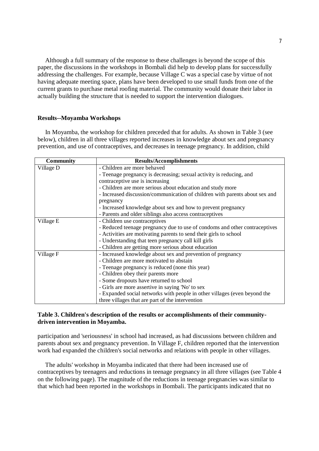Although a full summary of the response to these challenges is beyond the scope of this paper, the discussions in the workshops in Bombali did help to develop plans for successfully addressing the challenges. For example, because Village C was a special case by virtue of not having adequate meeting space, plans have been developed to use small funds from one of the current grants to purchase metal roofing material. The community would donate their labor in actually building the structure that is needed to support the intervention dialogues.

#### **Results--Moyamba Workshops**

 In Moyamba, the workshop for children preceded that for adults. As shown in Table 3 (see below), children in all three villages reported increases in knowledge about sex and pregnancy prevention, and use of contraceptives, and decreases in teenage pregnancy. In addition, child

| <b>Community</b> | <b>Results/Accomplishments</b>                                              |
|------------------|-----------------------------------------------------------------------------|
| Village D        | - Children are more behaved                                                 |
|                  | - Teenage pregnancy is decreasing; sexual activity is reducing, and         |
|                  | contraceptive use is increasing                                             |
|                  | - Children are more serious about education and study more                  |
|                  | - Increased discussion/communication of children with parents about sex and |
|                  | pregnancy                                                                   |
|                  | - Increased knowledge about sex and how to prevent pregnancy                |
|                  | - Parents and older siblings also access contraceptives                     |
| Village E        | - Children use contraceptives                                               |
|                  | - Reduced teenage pregnancy due to use of condoms and other contraceptives  |
|                  | - Activities are motivating parents to send their girls to school           |
|                  | - Understanding that teen pregnancy call kill girls                         |
|                  | - Children are getting more serious about education                         |
| Village F        | - Increased knowledge about sex and prevention of pregnancy                 |
|                  | - Children are more motivated to abstain                                    |
|                  | - Teenage pregnancy is reduced (none this year)                             |
|                  | - Children obey their parents more                                          |
|                  | - Some dropouts have returned to school                                     |
|                  | - Girls are more assertive in saying 'No' to sex                            |
|                  | - Expanded social networks with people in other villages (even beyond the   |
|                  | three villages that are part of the intervention                            |

# **Table 3. Children's description of the results or accomplishments of their communitydriven intervention in Moyamba.**

participation and 'seriousness' in school had increased, as had discussions between children and parents about sex and pregnancy prevention. In Village F, children reported that the intervention work had expanded the children's social networks and relations with people in other villages.

 The adults' workshop in Moyamba indicated that there had been increased use of contraceptives by teenagers and reductions in teenage pregnancy in all three villages (see Table 4 on the following page). The magnitude of the reductions in teenage pregnancies was similar to that which had been reported in the workshops in Bombali. The participants indicated that no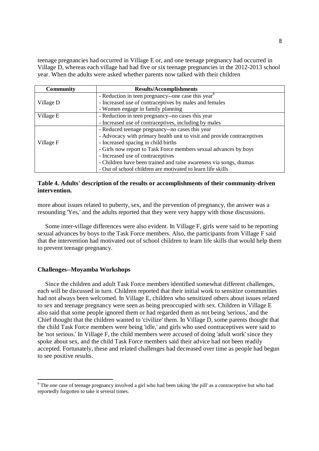teenage pregnancies had occurred in Village E or, and one teenage pregnancy had occurred in Village D, whereas each village had had five or six teenage pregnancies in the 2012-2013 school year. When the adults were asked whether parents now talked with their children

| <b>Community</b> | <b>Results/Accomplishments</b>                                          |
|------------------|-------------------------------------------------------------------------|
| Village D        | - Reduction in teen pregnancy--one case this year <sup>9</sup>          |
|                  | - Increased use of contraceptives by males and females                  |
|                  | - Women engage in family planning                                       |
| Village E        | - Reduction in teen pregnancy--no cases this year                       |
|                  | - Increased use of contraceptives, including by males                   |
| Village F        | - Reduced teenage pregnancy--no cases this year                         |
|                  | - Advocacy with primary health unit to visit and provide contraceptives |
|                  | - Increased spacing in child births                                     |
|                  | - Girls now report to Task Force members sexual advances by boys        |
|                  | - Increased use of contraceptives                                       |
|                  | - Children have been trained and raise awareness via songs, dramas      |
|                  | - Out of school children are motivated to learn life skills             |

# **Table 4. Adults' description of the results or accomplishments of their community-driven intervention.**

more about issues related to puberty, sex, and the prevention of pregnancy, the answer was a resounding 'Yes,' and the adults reported that they were very happy with those discussions.

 Some inter-village differences were also evident. In Village F, girls were said to be reporting sexual advances by boys to the Task Force members. Also, the participants from Village F said that the intervention had motivated out of school children to learn life skills that would help them to prevent teenage pregnancy.

### **Challenges--Moyamba Workshops**

 Since the children and adult Task Force members identified somewhat different challenges, each will be discussed in turn. Children reported that their initial work to sensitize communities had not always been welcomed. In Village E, children who sensitized others about issues related to sex and teenage pregnancy were seen as being preoccupied with sex. Children in Village E also said that some people ignored them or had regarded them as not being 'serious,' and the Chief thought that the children wanted to 'civilize' them. In Village D, some parents thought that the child Task Force members were being 'idle,' and girls who used contraceptives were said to be 'not serious.' In Village F, the child members were accused of doing 'adult work' since they spoke about sex, and the child Task Force members said their advice had not been readily accepted. Fortunately, these and related challenges had decreased over time as people had begun to see positive results.

The one case of teenage pregnancy involved a girl who had been taking 'the pill' as a contraceptive but who had reportedly forgotten to take it several times.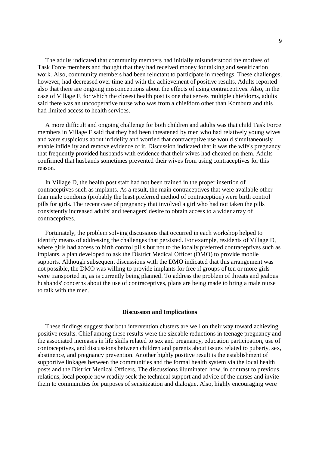The adults indicated that community members had initially misunderstood the motives of Task Force members and thought that they had received money for talking and sensitization work. Also, community members had been reluctant to participate in meetings. These challenges, however, had decreased over time and with the achievement of positive results. Adults reported also that there are ongoing misconceptions about the effects of using contraceptives. Also, in the case of Village F, for which the closest health post is one that serves multiple chiefdoms, adults said there was an uncooperative nurse who was from a chiefdom other than Kombura and this had limited access to health services.

 A more difficult and ongoing challenge for both children and adults was that child Task Force members in Village F said that they had been threatened by men who had relatively young wives and were suspicious about infidelity and worried that contraceptive use would simultaneously enable infidelity and remove evidence of it. Discussion indicated that it was the wife's pregnancy that frequently provided husbands with evidence that their wives had cheated on them. Adults confirmed that husbands sometimes prevented their wives from using contraceptives for this reason.

 In Village D, the health post staff had not been trained in the proper insertion of contraceptives such as implants. As a result, the main contraceptives that were available other than male condoms (probably the least preferred method of contraception) were birth control pills for girls. The recent case of pregnancy that involved a girl who had not taken the pills consistently increased adults' and teenagers' desire to obtain access to a wider array of contraceptives.

 Fortunately, the problem solving discussions that occurred in each workshop helped to identify means of addressing the challenges that persisted. For example, residents of Village D, where girls had access to birth control pills but not to the locally preferred contraceptives such as implants, a plan developed to ask the District Medical Officer (DMO) to provide mobile supports. Although subsequent discussions with the DMO indicated that this arrangement was not possible, the DMO was willing to provide implants for free if groups of ten or more girls were transported in, as is currently being planned. To address the problem of threats and jealous husbands' concerns about the use of contraceptives, plans are being made to bring a male nurse to talk with the men.

## **Discussion and Implications**

 These findings suggest that both intervention clusters are well on their way toward achieving positive results. Chief among these results were the sizeable reductions in teenage pregnancy and the associated increases in life skills related to sex and pregnancy, education participation, use of contraceptives, and discussions between children and parents about issues related to puberty, sex, abstinence, and pregnancy prevention. Another highly positive result is the establishment of supportive linkages between the communities and the formal health system via the local health posts and the District Medical Officers. The discussions illuminated how, in contrast to previous relations, local people now readily seek the technical support and advice of the nurses and invite them to communities for purposes of sensitization and dialogue. Also, highly encouraging were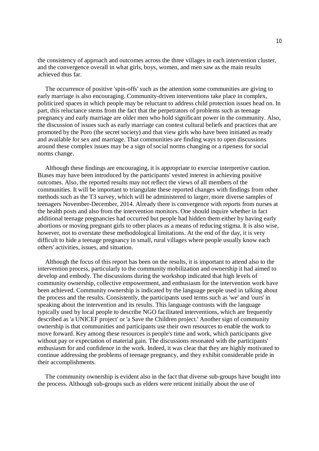the consistency of approach and outcomes across the three villages in each intervention cluster, and the convergence overall in what girls, boys, women, and men saw as the main results achieved thus far.

 The occurrence of positive 'spin-offs' such as the attention some communities are giving to early marriage is also encouraging. Community-driven interventions take place in complex, politicized spaces in which people may be reluctant to address child protection issues head on. In part, this reluctance stems from the fact that the perpetrators of problems such as teenage pregnancy and early marriage are older men who hold significant power in the community. Also, the discussion of issues such as early marriage can contest cultural beliefs and practices that are promoted by the Poro (the secret society) and that view girls who have been initiated as ready and available for sex and marriage. That communities are finding ways to open discussions around these complex issues may be a sign of social norms changing or a ripeness for social norms change.

 Although these findings are encouraging, it is appropriate to exercise interpretive caution. Biases may have been introduced by the participants' vested interest in achieving positive outcomes. Also, the reported results may not reflect the views of all members of the communities. It will be important to triangulate these reported changes with findings from other methods such as the T3 survey, which will be administered to larger, more diverse samples of teenagers November-December, 2014. Already there is convergence with reports from nurses at the health posts and also from the intervention monitors. One should inquire whether in fact additional teenage pregnancies had occurred but people had hidden them either by having early abortions or moving pregnant girls to other places as a means of reducing stigma. It is also wise, however, not to overstate these methodological limitations. At the end of the day, it is very difficult to hide a teenage pregnancy in small, rural villages where people usually know each others' activities, issues, and situation.

 Although the focus of this report has been on the results, it is important to attend also to the intervention process, particularly to the community mobilization and ownership it had aimed to develop and embody. The discussions during the workshop indicated that high levels of community ownership, collective empowerment, and enthusiasm for the intervention work have been achieved. Community ownership is indicated by the language people used in talking about the process and the results. Consistently, the participants used terms such as 'we' and 'ours' in speaking about the intervention and its results. This language contrasts with the language typically used by local people to describe NGO facilitated interventions, which are frequently described as 'a UNICEF project' or 'a Save the Children project.' Another sign of community ownership is that communities and participants use their own resources to enable the work to move forward. Key among these resources is people's time and work, which participants give without pay or expectation of material gain. The discussions resonated with the participants' enthusiasm for and confidence in the work. Indeed, it was clear that they are highly motivated to continue addressing the problems of teenage pregnancy, and they exhibit considerable pride in their accomplishments.

 The community ownership is evident also in the fact that diverse sub-groups have bought into the process. Although sub-groups such as elders were reticent initially about the use of